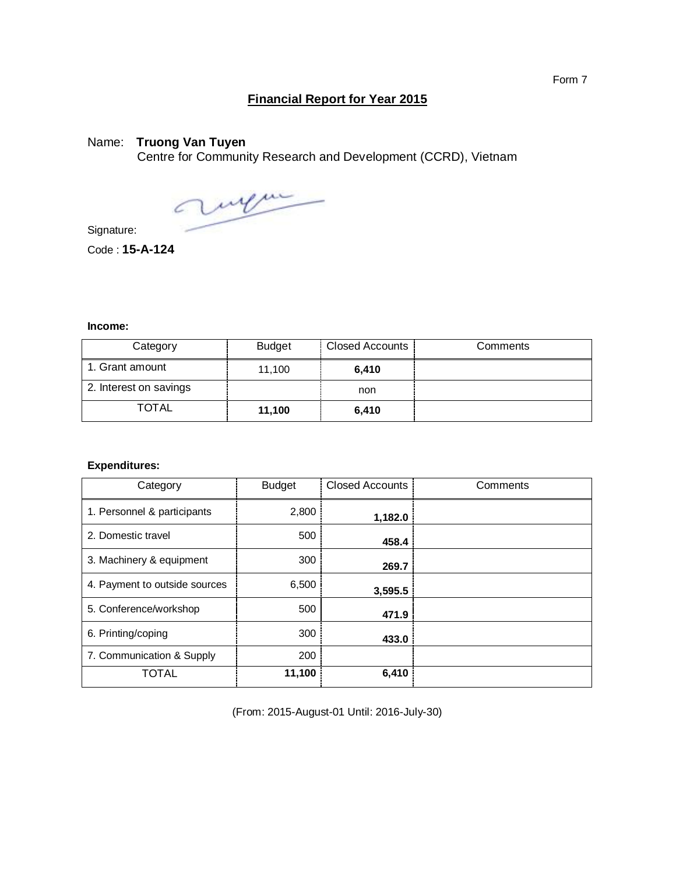## **Financial Report for Year 2015**

## Name: **Truong Van Tuyen**

Centre for Community Research and Development (CCRD), Vietnam

augu

Signature:

Code : **15-A-124**

## **Income:**

| Category               | <b>Budget</b> | Closed Accounts | Comments |
|------------------------|---------------|-----------------|----------|
| 1. Grant amount        | 11.100        | 6.410           |          |
| 2. Interest on savings |               | non             |          |
| TOTAL                  | 11,100        | 6,410           |          |

## **Expenditures:**

| Category                      | <b>Budget</b> | <b>Closed Accounts</b> | Comments |
|-------------------------------|---------------|------------------------|----------|
| 1. Personnel & participants   | 2,800         | 1,182.0                |          |
| 2. Domestic travel            | 500           | 458.4                  |          |
| 3. Machinery & equipment      | 300           | 269.7                  |          |
| 4. Payment to outside sources | 6,500         | 3,595.5                |          |
| 5. Conference/workshop        | 500           | 471.9                  |          |
| 6. Printing/coping            | 300           | 433.0                  |          |
| 7. Communication & Supply     | 200           |                        |          |
| <b>TOTAL</b>                  | 11,100        | 6,410                  |          |

(From: 2015-August-01 Until: 2016-July-30)